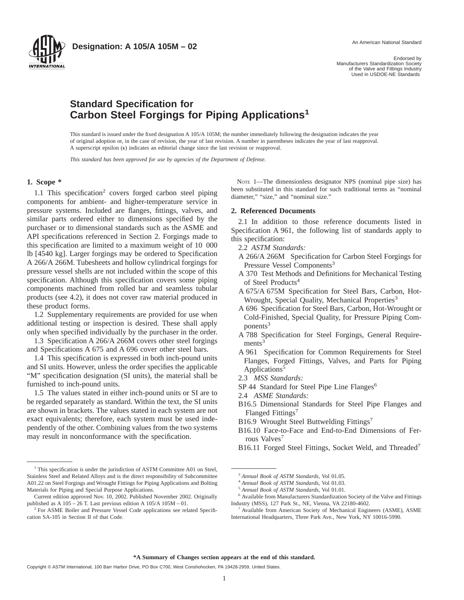

**Designation: A 105/A 105M – 02** An American National Standard

Endorsed by Manufacturers Standardization Society of the Valve and Fittings Industry Used in USDOE-NE Standards

# **Standard Specification for Carbon Steel Forgings for Piping Applications<sup>1</sup>**

This standard is issued under the fixed designation A 105/A 105M; the number immediately following the designation indicates the year of original adoption or, in the case of revision, the year of last revision. A number in parentheses indicates the year of last reapproval. A superscript epsilon  $(\epsilon)$  indicates an editorial change since the last revision or reapproval.

*This standard has been approved for use by agencies of the Department of Defense.*

#### **1. Scope \***

1.1 This specification<sup>2</sup> covers forged carbon steel piping components for ambient- and higher-temperature service in pressure systems. Included are flanges, fittings, valves, and similar parts ordered either to dimensions specified by the purchaser or to dimensional standards such as the ASME and API specifications referenced in Section 2. Forgings made to this specification are limited to a maximum weight of 10 000 lb [4540 kg]. Larger forgings may be ordered to Specification A 266/A 266M. Tubesheets and hollow cylindrical forgings for pressure vessel shells are not included within the scope of this specification. Although this specification covers some piping components machined from rolled bar and seamless tubular products (see 4.2), it does not cover raw material produced in these product forms.

1.2 Supplementary requirements are provided for use when additional testing or inspection is desired. These shall apply only when specified individually by the purchaser in the order.

1.3 Specification A 266/A 266M covers other steel forgings and Specifications A 675 and A 696 cover other steel bars.

1.4 This specification is expressed in both inch-pound units and SI units. However, unless the order specifies the applicable "M" specification designation (SI units), the material shall be furnished to inch-pound units.

1.5 The values stated in either inch-pound units or SI are to be regarded separately as standard. Within the text, the SI units are shown in brackets. The values stated in each system are not exact equivalents; therefore, each system must be used independently of the other. Combining values from the two systems may result in nonconformance with the specification.

<sup>1</sup> This specification is under the jurisdiction of ASTM Committee A01 on Steel, Stainless Steel and Related Alloys and is the direct responsibility of Subcommittee A01.22 on Steel Forgings and Wrought Fittings for Piping Applications and Bolting Materials for Piping and Special Purpose Applications.

NOTE 1—The dimensionless designator NPS (nominal pipe size) has been substituted in this standard for such traditional terms as "nominal diameter," "size," and "nominal size."

#### **2. Referenced Documents**

2.1 In addition to those reference documents listed in Specification A 961, the following list of standards apply to this specification:

- 2.2 *ASTM Standards:*
- A 266/A 266M Specification for Carbon Steel Forgings for Pressure Vessel Components<sup>3</sup>
- A 370 Test Methods and Definitions for Mechanical Testing of Steel Products<sup>4</sup>
- A 675/A 675M Specification for Steel Bars, Carbon, Hot-Wrought, Special Quality, Mechanical Properties<sup>3</sup>
- A 696 Specification for Steel Bars, Carbon, Hot-Wrought or Cold-Finished, Special Quality, for Pressure Piping Com $ponents<sup>3</sup>$
- A 788 Specification for Steel Forgings, General Require $ments<sup>3</sup>$
- A 961 Specification for Common Requirements for Steel Flanges, Forged Fittings, Valves, and Parts for Piping Applications<sup>5</sup>
- 2.3 *MSS Standards:*
- SP 44 Standard for Steel Pipe Line Flanges<sup>6</sup>
- 2.4 *ASME Standards:*
- B16.5 Dimensional Standards for Steel Pipe Flanges and Flanged Fittings<sup>7</sup>
- B16.9 Wrought Steel Buttwelding Fittings<sup>7</sup>
- B16.10 Face-to-Face and End-to-End Dimensions of Ferrous Valves<sup>7</sup>
- B16.11 Forged Steel Fittings, Socket Weld, and Threaded<sup>7</sup>

Current edition approved Nov. 10, 2002. Published November 2002. Originally published as A 105 – 26 T. Last previous edition A 105/A 105M – 01.

<sup>2</sup> For ASME Boiler and Pressure Vessel Code applications see related Specification SA-105 in Section II of that Code.

<sup>3</sup> *Annual Book of ASTM Standards*, Vol 01.05.

<sup>4</sup> *Annual Book of ASTM Standards*, Vol 01.03.

<sup>5</sup> *Annual Book of ASTM Standards*, Vol 01.01.

<sup>6</sup> Available from Manufacturers Standardization Society of the Valve and Fittings Industry (MSS), 127 Park St., NE, Vienna, VA 22180-4602.

<sup>7</sup> Available from American Society of Mechanical Engineers (ASME), ASME International Headquarters, Three Park Ave., New York, NY 10016-5990.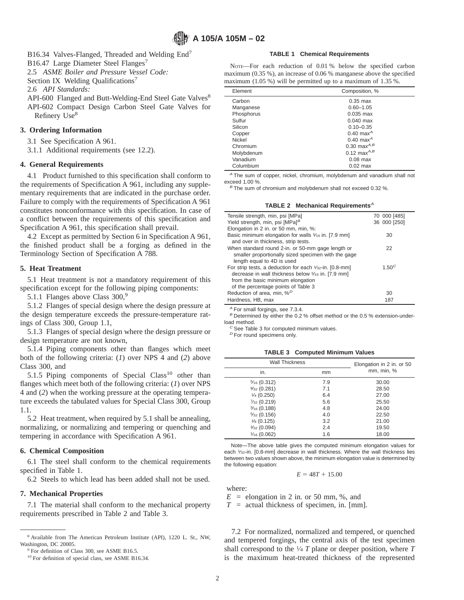B16.34 Valves-Flanged, Threaded and Welding End<sup>7</sup>

B16.47 Large Diameter Steel Flanges<sup>7</sup>

2.5 *ASME Boiler and Pressure Vessel Code:*

Section IX Welding Qualifications<sup>7</sup>

2.6 *API Standards:*

API-600 Flanged and Butt-Welding-End Steel Gate Valves<sup>8</sup> API-602 Compact Design Carbon Steel Gate Valves for Refinery Use<sup>8</sup>

## **3. Ordering Information**

3.1 See Specification A 961.

3.1.1 Additional requirements (see 12.2).

#### **4. General Requirements**

4.1 Product furnished to this specification shall conform to the requirements of Specification A 961, including any supplementary requirements that are indicated in the purchase order. Failure to comply with the requirements of Specification A 961 constitutes nonconformance with this specification. In case of a conflict between the requirements of this specification and Specification A 961, this specification shall prevail.

4.2 Except as permitted by Section 6 in Specification A 961, the finished product shall be a forging as defined in the Terminology Section of Specification A 788.

#### **5. Heat Treatment**

5.1 Heat treatment is not a mandatory requirement of this specification except for the following piping components:

5.1.1 Flanges above Class 300,<sup>9</sup>

5.1.2 Flanges of special design where the design pressure at the design temperature exceeds the pressure-temperature ratings of Class 300, Group 1.1,

5.1.3 Flanges of special design where the design pressure or design temperature are not known,

5.1.4 Piping components other than flanges which meet both of the following criteria: (*1*) over NPS 4 and (*2*) above Class 300, and

5.1.5 Piping components of Special  $Class<sup>10</sup>$  other than flanges which meet both of the following criteria: (*1*) over NPS 4 and (*2*) when the working pressure at the operating temperature exceeds the tabulated values for Special Class 300, Group 1.1.

5.2 Heat treatment, when required by 5.1 shall be annealing, normalizing, or normalizing and tempering or quenching and tempering in accordance with Specification A 961.

#### **6. Chemical Composition**

6.1 The steel shall conform to the chemical requirements specified in Table 1.

6.2 Steels to which lead has been added shall not be used.

#### **7. Mechanical Properties**

7.1 The material shall conform to the mechanical property requirements prescribed in Table 2 and Table 3.

#### **TABLE 1 Chemical Requirements**

NOTE—For each reduction of 0.01 % below the specified carbon maximum (0.35 %), an increase of 0.06 % manganese above the specified maximum (1.05 %) will be permitted up to a maximum of 1.35 %.

| Element    | Composition, %          |  |
|------------|-------------------------|--|
| Carbon     | $0.35$ max              |  |
| Manganese  | $0.60 - 1.05$           |  |
| Phosphorus | $0.035$ max             |  |
| Sulfur     | $0.040$ max             |  |
| Silicon    | $0.10 - 0.35$           |  |
| Copper     | $0.40$ max <sup>A</sup> |  |
| Nickel     | $0.40$ max <sup>A</sup> |  |
| Chromium   | 0.30 max $^{A,B}$       |  |
| Molybdenum | 0.12 max $^{A,B}$       |  |
| Vanadium   | $0.08$ max              |  |
| Columbium  | $0.02$ max              |  |

<sup>A</sup> The sum of copper, nickel, chromium, molybdenum and vanadium shall not exceed 1.00 %.

 $B$  The sum of chromium and molybdenum shall not exceed 0.32 %.

#### **TABLE 2 Mechanical Requirements<sup>A</sup>**

| Tensile strength, min, psi [MPa]                                                                                                                                                          | 70 000 [485]                   |
|-------------------------------------------------------------------------------------------------------------------------------------------------------------------------------------------|--------------------------------|
| Yield strength, min, psi $[MPa]^B$                                                                                                                                                        | 36 000 [250]                   |
| Elongation in 2 in. or 50 mm, min, %:                                                                                                                                                     |                                |
| Basic minimum elongation for walls 5/16 in. [7.9 mm]<br>and over in thickness, strip tests.                                                                                               | 30                             |
| When standard round 2-in. or 50-mm gage length or<br>smaller proportionally sized specimen with the gage<br>length equal to 4D is used                                                    | 22                             |
| For strip tests, a deduction for each 1/32-in. [0.8-mm]<br>decrease in wall thickness below 5/16 in. [7.9 mm]<br>from the basic minimum elongation<br>of the percentage points of Table 3 | 1.50 <sup><math>C</math></sup> |
| Reduction of area, min, % <sup>D</sup>                                                                                                                                                    | 30                             |
| Hardness, HB, max                                                                                                                                                                         | 187                            |

<sup>A</sup> For small forgings, see 7.3.4.

 $B$  Determined by either the 0.2 % offset method or the 0.5 % extension-underload method.

 $<sup>C</sup>$  See Table 3 for computed minimum values.</sup>

 $D$  For round specimens only.

**TABLE 3 Computed Minimum Values**

| <b>Wall Thickness</b>  |     | Elongation in 2 in. or 50 |
|------------------------|-----|---------------------------|
| in.                    | mm  | mm, min, %                |
| $\frac{5}{16}$ (0.312) | 7.9 | 30.00                     |
| $\frac{9}{32}$ (0.281) | 7.1 | 28.50                     |
| $\frac{1}{4}$ (0.250)  | 6.4 | 27.00                     |
| $\frac{7}{32}$ (0.219) | 5.6 | 25.50                     |
| $\frac{3}{16}$ (0.188) | 4.8 | 24.00                     |
| $\frac{5}{32}$ (0.156) | 4.0 | 22.50                     |
| $\frac{1}{8}$ (0.125)  | 3.2 | 21.00                     |
| $\frac{3}{32}$ (0.094) | 2.4 | 19.50                     |
| $\frac{1}{16}$ (0.062) | 1.6 | 18.00                     |

Note—The above table gives the computed minimum elongation values for each 1/32-in. [0.8-mm] decrease in wall thickness. Where the wall thickness lies between two values shown above, the minimum elongation value is determined by the following equation:

#### $E = 48T + 15.00$

where:

 $E =$  elongation in 2 in. or 50 mm, %, and

*T* = actual thickness of specimen, in. [mm].

7.2 For normalized, normalized and tempered, or quenched and tempered forgings, the central axis of the test specimen shall correspond to the  $\frac{1}{4}$  *T* plane or deeper position, where *T* is the maximum heat-treated thickness of the represented

<sup>8</sup> Available from The American Petroleum Institute (API), 1220 L. St., NW, Washington, DC 20005.

<sup>&</sup>lt;sup>9</sup> For definition of Class 300, see ASME B16.5.

<sup>&</sup>lt;sup>10</sup> For definition of special class, see ASME B16.34.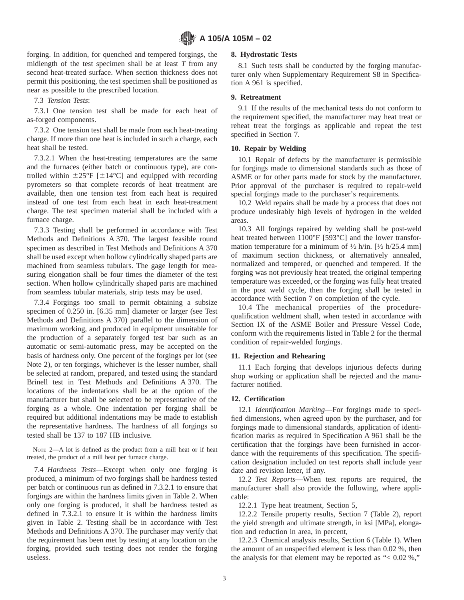forging. In addition, for quenched and tempered forgings, the midlength of the test specimen shall be at least *T* from any second heat-treated surface. When section thickness does not permit this positioning, the test specimen shall be positioned as near as possible to the prescribed location.

7.3 *Tension Tests*:

7.3.1 One tension test shall be made for each heat of as-forged components.

7.3.2 One tension test shall be made from each heat-treating charge. If more than one heat is included in such a charge, each heat shall be tested.

7.3.2.1 When the heat-treating temperatures are the same and the furnaces (either batch or continuous type), are controlled within  $\pm 25^{\circ}F$  [ $\pm 14^{\circ}C$ ] and equipped with recording pyrometers so that complete records of heat treatment are available, then one tension test from each heat is required instead of one test from each heat in each heat-treatment charge. The test specimen material shall be included with a furnace charge.

7.3.3 Testing shall be performed in accordance with Test Methods and Definitions A 370. The largest feasible round specimen as described in Test Methods and Definitions A 370 shall be used except when hollow cylindrically shaped parts are machined from seamless tubulars. The gage length for measuring elongation shall be four times the diameter of the test section. When hollow cylindrically shaped parts are machined from seamless tubular materials, strip tests may be used.

7.3.4 Forgings too small to permit obtaining a subsize specimen of 0.250 in. [6.35 mm] diameter or larger (see Test Methods and Definitions A 370) parallel to the dimension of maximum working, and produced in equipment unsuitable for the production of a separately forged test bar such as an automatic or semi-automatic press, may be accepted on the basis of hardness only. One percent of the forgings per lot (see Note 2), or ten forgings, whichever is the lesser number, shall be selected at random, prepared, and tested using the standard Brinell test in Test Methods and Definitions A 370. The locations of the indentations shall be at the option of the manufacturer but shall be selected to be representative of the forging as a whole. One indentation per forging shall be required but additional indentations may be made to establish the representative hardness. The hardness of all forgings so tested shall be 137 to 187 HB inclusive.

NOTE 2—A lot is defined as the product from a mill heat or if heat treated, the product of a mill heat per furnace charge.

7.4 *Hardness Tests*—Except when only one forging is produced, a minimum of two forgings shall be hardness tested per batch or continuous run as defined in 7.3.2.1 to ensure that forgings are within the hardness limits given in Table 2. When only one forging is produced, it shall be hardness tested as defined in 7.3.2.1 to ensure it is within the hardness limits given in Table 2. Testing shall be in accordance with Test Methods and Definitions A 370. The purchaser may verify that the requirement has been met by testing at any location on the forging, provided such testing does not render the forging useless.

#### **8. Hydrostatic Tests**

8.1 Such tests shall be conducted by the forging manufacturer only when Supplementary Requirement S8 in Specification A 961 is specified.

#### **9. Retreatment**

9.1 If the results of the mechanical tests do not conform to the requirement specified, the manufacturer may heat treat or reheat treat the forgings as applicable and repeat the test specified in Section 7.

#### **10. Repair by Welding**

10.1 Repair of defects by the manufacturer is permissible for forgings made to dimensional standards such as those of ASME or for other parts made for stock by the manufacturer. Prior approval of the purchaser is required to repair-weld special forgings made to the purchaser's requirements.

10.2 Weld repairs shall be made by a process that does not produce undesirably high levels of hydrogen in the welded areas.

10.3 All forgings repaired by welding shall be post-weld heat treated between 1100°F [593°C] and the lower transformation temperature for a minimum of  $\frac{1}{2}$  h/in. [ $\frac{1}{2}$  h/25.4 mm] of maximum section thickness, or alternatively annealed, normalized and tempered, or quenched and tempered. If the forging was not previously heat treated, the original tempering temperature was exceeded, or the forging was fully heat treated in the post weld cycle, then the forging shall be tested in accordance with Section 7 on completion of the cycle.

10.4 The mechanical properties of the procedurequalification weldment shall, when tested in accordance with Section IX of the ASME Boiler and Pressure Vessel Code, conform with the requirements listed in Table 2 for the thermal condition of repair-welded forgings.

#### **11. Rejection and Rehearing**

11.1 Each forging that develops injurious defects during shop working or application shall be rejected and the manufacturer notified.

### **12. Certification**

12.1 *Identification Marking*—For forgings made to specified dimensions, when agreed upon by the purchaser, and for forgings made to dimensional standards, application of identification marks as required in Specification A 961 shall be the certification that the forgings have been furnished in accordance with the requirements of this specification. The specification designation included on test reports shall include year date and revision letter, if any.

12.2 *Test Reports*—When test reports are required, the manufacturer shall also provide the following, where applicable:

12.2.1 Type heat treatment, Section 5,

12.2.2 Tensile property results, Section 7 (Table 2), report the yield strength and ultimate strength, in ksi [MPa], elongation and reduction in area, in percent,

12.2.3 Chemical analysis results, Section 6 (Table 1). When the amount of an unspecified element is less than 0.02 %, then the analysis for that element may be reported as " $< 0.02$  %,"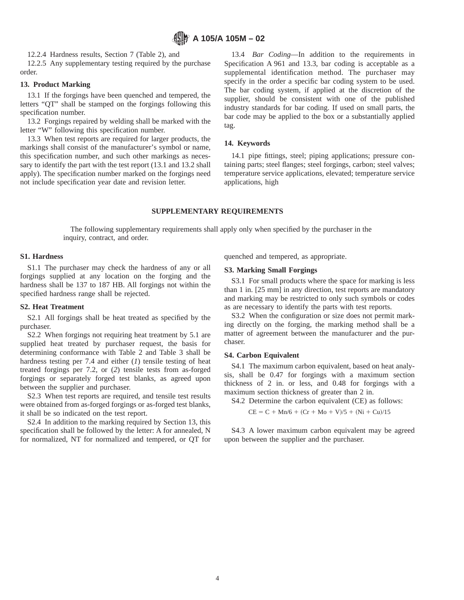12.2.4 Hardness results, Section 7 (Table 2), and

12.2.5 Any supplementary testing required by the purchase order.

#### **13. Product Marking**

13.1 If the forgings have been quenched and tempered, the letters "QT" shall be stamped on the forgings following this specification number.

13.2 Forgings repaired by welding shall be marked with the letter "W" following this specification number.

13.3 When test reports are required for larger products, the markings shall consist of the manufacturer's symbol or name, this specification number, and such other markings as necessary to identify the part with the test report (13.1 and 13.2 shall apply). The specification number marked on the forgings need not include specification year date and revision letter.

13.4 *Bar Coding*—In addition to the requirements in Specification A 961 and 13.3, bar coding is acceptable as a supplemental identification method. The purchaser may specify in the order a specific bar coding system to be used. The bar coding system, if applied at the discretion of the supplier, should be consistent with one of the published industry standards for bar coding. If used on small parts, the bar code may be applied to the box or a substantially applied tag.

### **14. Keywords**

14.1 pipe fittings, steel; piping applications; pressure containing parts; steel flanges; steel forgings, carbon; steel valves; temperature service applications, elevated; temperature service applications, high

### **SUPPLEMENTARY REQUIREMENTS**

The following supplementary requirements shall apply only when specified by the purchaser in the inquiry, contract, and order.

#### **S1. Hardness**

S1.1 The purchaser may check the hardness of any or all forgings supplied at any location on the forging and the hardness shall be 137 to 187 HB. All forgings not within the specified hardness range shall be rejected.

#### **S2. Heat Treatment**

S2.1 All forgings shall be heat treated as specified by the purchaser.

S2.2 When forgings not requiring heat treatment by 5.1 are supplied heat treated by purchaser request, the basis for determining conformance with Table 2 and Table 3 shall be hardness testing per 7.4 and either (*1*) tensile testing of heat treated forgings per 7.2, or (*2*) tensile tests from as-forged forgings or separately forged test blanks, as agreed upon between the supplier and purchaser.

S2.3 When test reports are required, and tensile test results were obtained from as-forged forgings or as-forged test blanks, it shall be so indicated on the test report.

S2.4 In addition to the marking required by Section 13, this specification shall be followed by the letter: A for annealed, N for normalized, NT for normalized and tempered, or QT for quenched and tempered, as appropriate.

### **S3. Marking Small Forgings**

S3.1 For small products where the space for marking is less than 1 in. [25 mm] in any direction, test reports are mandatory and marking may be restricted to only such symbols or codes as are necessary to identify the parts with test reports.

S3.2 When the configuration or size does not permit marking directly on the forging, the marking method shall be a matter of agreement between the manufacturer and the purchaser.

#### **S4. Carbon Equivalent**

S4.1 The maximum carbon equivalent, based on heat analysis, shall be 0.47 for forgings with a maximum section thickness of 2 in. or less, and 0.48 for forgings with a maximum section thickness of greater than 2 in.

S4.2 Determine the carbon equivalent (CE) as follows:

 $CE = C + Mn/6 + (Cr + Mo + V)/5 + (Ni + Cu)/15$ 

S4.3 A lower maximum carbon equivalent may be agreed upon between the supplier and the purchaser.